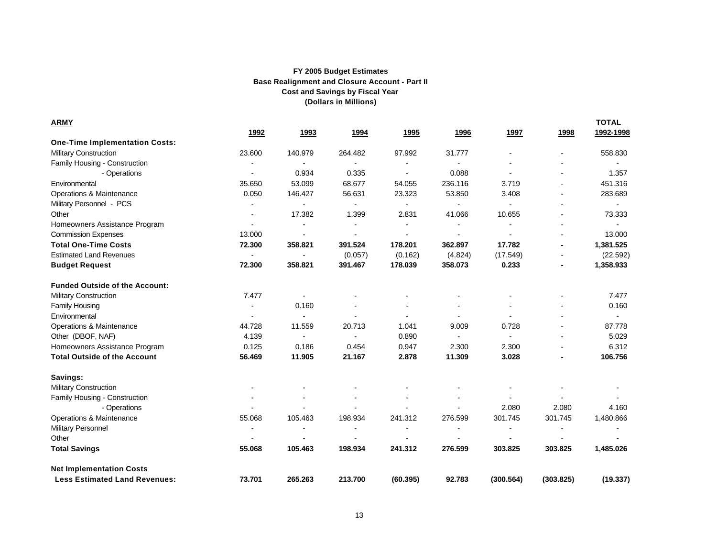| <b>ARMY</b>                           |                          |                          |                |                |                |                          |                          | <b>TOTAL</b> |
|---------------------------------------|--------------------------|--------------------------|----------------|----------------|----------------|--------------------------|--------------------------|--------------|
|                                       | 1992                     | 1993                     | 1994           | 1995           | 1996           | 1997                     | 1998                     | 1992-1998    |
| <b>One-Time Implementation Costs:</b> |                          |                          |                |                |                |                          |                          |              |
| <b>Military Construction</b>          | 23.600                   | 140.979                  | 264.482        | 97.992         | 31.777         |                          |                          | 558.830      |
| Family Housing - Construction         |                          | $\overline{\phantom{a}}$ |                |                |                |                          |                          |              |
| - Operations                          |                          | 0.934                    | 0.335          |                | 0.088          |                          |                          | 1.357        |
| Environmental                         | 35.650                   | 53.099                   | 68.677         | 54.055         | 236.116        | 3.719                    |                          | 451.316      |
| Operations & Maintenance              | 0.050                    | 146.427                  | 56.631         | 23.323         | 53.850         | 3.408                    |                          | 283.689      |
| Military Personnel - PCS              |                          |                          |                |                |                |                          |                          |              |
| Other                                 | $\overline{\phantom{a}}$ | 17.382                   | 1.399          | 2.831          | 41.066         | 10.655                   | $\overline{\phantom{a}}$ | 73.333       |
| Homeowners Assistance Program         | $\blacksquare$           |                          | $\blacksquare$ | $\blacksquare$ | $\blacksquare$ | $\blacksquare$           |                          |              |
| <b>Commission Expenses</b>            | 13.000                   |                          |                |                | $\blacksquare$ | $\blacksquare$           |                          | 13.000       |
| <b>Total One-Time Costs</b>           | 72.300                   | 358.821                  | 391.524        | 178.201        | 362.897        | 17.782                   |                          | 1,381.525    |
| <b>Estimated Land Revenues</b>        | $\blacksquare$           |                          | (0.057)        | (0.162)        | (4.824)        | (17.549)                 |                          | (22.592)     |
| <b>Budget Request</b>                 | 72.300                   | 358.821                  | 391.467        | 178.039        | 358.073        | 0.233                    |                          | 1,358.933    |
| <b>Funded Outside of the Account:</b> |                          |                          |                |                |                |                          |                          |              |
| <b>Military Construction</b>          | 7.477                    |                          |                |                |                |                          |                          | 7.477        |
| <b>Family Housing</b>                 |                          | 0.160                    |                |                |                |                          |                          | 0.160        |
| Environmental                         |                          |                          | $\blacksquare$ | $\blacksquare$ |                | $\overline{\phantom{a}}$ |                          | $\sim$       |
| Operations & Maintenance              | 44.728                   | 11.559                   | 20.713         | 1.041          | 9.009          | 0.728                    |                          | 87.778       |
| Other (DBOF, NAF)                     | 4.139                    | $\sim$                   | $\blacksquare$ | 0.890          | $\blacksquare$ | $\blacksquare$           |                          | 5.029        |
| Homeowners Assistance Program         | 0.125                    | 0.186                    | 0.454          | 0.947          | 2.300          | 2.300                    |                          | 6.312        |
| <b>Total Outside of the Account</b>   | 56.469                   | 11.905                   | 21.167         | 2.878          | 11.309         | 3.028                    |                          | 106.756      |
| Savings:                              |                          |                          |                |                |                |                          |                          |              |
| Military Construction                 |                          |                          |                |                |                |                          |                          |              |
| Family Housing - Construction         |                          |                          |                |                |                |                          |                          |              |
| - Operations                          |                          |                          |                |                |                | 2.080                    | 2.080                    | 4.160        |
| Operations & Maintenance              | 55.068                   | 105.463                  | 198.934        | 241.312        | 276.599        | 301.745                  | 301.745                  | 1,480.866    |
| <b>Military Personnel</b>             | $\blacksquare$           | $\overline{\phantom{a}}$ |                |                |                | $\overline{\phantom{a}}$ | $\blacksquare$           |              |
| Other                                 |                          |                          |                |                |                | $\sim$                   |                          |              |
| <b>Total Savings</b>                  | 55.068                   | 105.463                  | 198.934        | 241.312        | 276.599        | 303.825                  | 303.825                  | 1,485.026    |
| <b>Net Implementation Costs</b>       |                          |                          |                |                |                |                          |                          |              |
| <b>Less Estimated Land Revenues:</b>  | 73.701                   | 265.263                  | 213.700        | (60.395)       | 92.783         | (300.564)                | (303.825)                | (19.337)     |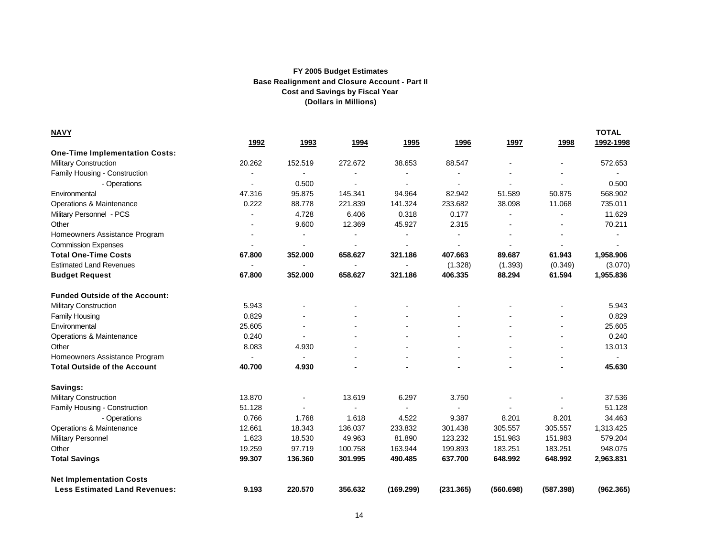| <b>NAVY</b>                           |                |                |                |           |                |                |           | <b>TOTAL</b> |
|---------------------------------------|----------------|----------------|----------------|-----------|----------------|----------------|-----------|--------------|
|                                       | 1992           | 1993           | 1994           | 1995      | 1996           | 1997           | 1998      | 1992-1998    |
| <b>One-Time Implementation Costs:</b> |                |                |                |           |                |                |           |              |
| <b>Military Construction</b>          | 20.262         | 152.519        | 272.672        | 38.653    | 88.547         |                |           | 572.653      |
| Family Housing - Construction         |                |                |                |           | $\blacksquare$ |                |           |              |
| - Operations                          |                | 0.500          |                |           | $\blacksquare$ |                |           | 0.500        |
| Environmental                         | 47.316         | 95.875         | 145.341        | 94.964    | 82.942         | 51.589         | 50.875    | 568.902      |
| Operations & Maintenance              | 0.222          | 88.778         | 221.839        | 141.324   | 233.682        | 38.098         | 11.068    | 735.011      |
| Military Personnel - PCS              |                | 4.728          | 6.406          | 0.318     | 0.177          |                |           | 11.629       |
| Other                                 |                | 9.600          | 12.369         | 45.927    | 2.315          |                |           | 70.211       |
| Homeowners Assistance Program         |                |                |                |           |                |                |           |              |
| <b>Commission Expenses</b>            |                | $\blacksquare$ |                |           |                |                |           |              |
| <b>Total One-Time Costs</b>           | 67.800         | 352.000        | 658.627        | 321.186   | 407.663        | 89.687         | 61.943    | 1,958.906    |
| <b>Estimated Land Revenues</b>        |                |                |                |           | (1.328)        | (1.393)        | (0.349)   | (3.070)      |
| <b>Budget Request</b>                 | 67.800         | 352.000        | 658.627        | 321.186   | 406.335        | 88.294         | 61.594    | 1,955.836    |
| <b>Funded Outside of the Account:</b> |                |                |                |           |                |                |           |              |
| <b>Military Construction</b>          | 5.943          |                |                |           |                |                |           | 5.943        |
| <b>Family Housing</b>                 | 0.829          |                |                |           |                |                |           | 0.829        |
| Environmental                         | 25.605         |                |                |           |                |                |           | 25.605       |
| Operations & Maintenance              | 0.240          |                |                |           |                |                |           | 0.240        |
| Other                                 | 8.083          | 4.930          |                |           |                |                |           | 13.013       |
| Homeowners Assistance Program         | $\blacksquare$ | $\sim$         |                |           |                |                |           | $\sim$       |
| <b>Total Outside of the Account</b>   | 40.700         | 4.930          |                |           | $\blacksquare$ |                |           | 45.630       |
| Savings:                              |                |                |                |           |                |                |           |              |
| Military Construction                 | 13.870         |                | 13.619         | 6.297     | 3.750          |                |           | 37.536       |
| Family Housing - Construction         | 51.128         |                | $\overline{a}$ |           |                | $\overline{a}$ |           | 51.128       |
| - Operations                          | 0.766          | 1.768          | 1.618          | 4.522     | 9.387          | 8.201          | 8.201     | 34.463       |
| Operations & Maintenance              | 12.661         | 18.343         | 136.037        | 233.832   | 301.438        | 305.557        | 305.557   | 1,313.425    |
| <b>Military Personnel</b>             | 1.623          | 18.530         | 49.963         | 81.890    | 123.232        | 151.983        | 151.983   | 579.204      |
| Other                                 | 19.259         | 97.719         | 100.758        | 163.944   | 199.893        | 183.251        | 183.251   | 948.075      |
| <b>Total Savings</b>                  | 99.307         | 136.360        | 301.995        | 490.485   | 637.700        | 648.992        | 648.992   | 2,963.831    |
| <b>Net Implementation Costs</b>       |                |                |                |           |                |                |           |              |
| <b>Less Estimated Land Revenues:</b>  | 9.193          | 220.570        | 356.632        | (169.299) | (231.365)      | (560.698)      | (587.398) | (962.365)    |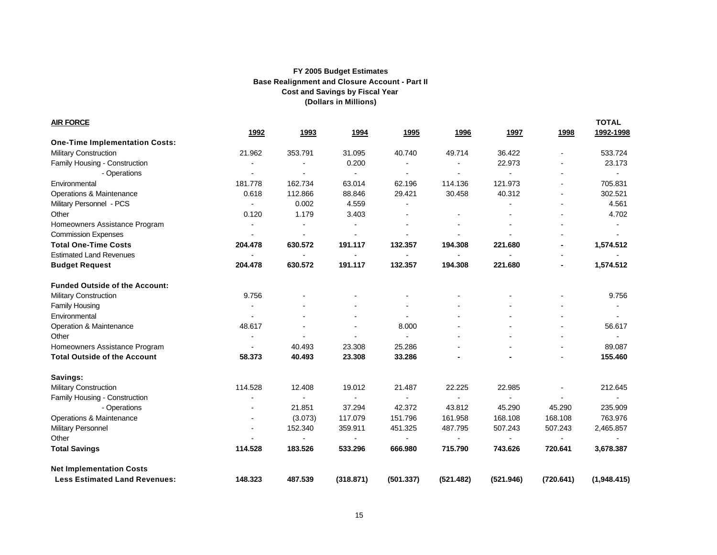| <b>AIR FORCE</b>                      |                          |                |                |                          |                |                          |           | <b>TOTAL</b>   |
|---------------------------------------|--------------------------|----------------|----------------|--------------------------|----------------|--------------------------|-----------|----------------|
|                                       | 1992                     | 1993           | 1994           | 1995                     | 1996           | 1997                     | 1998      | 1992-1998      |
| <b>One-Time Implementation Costs:</b> |                          |                |                |                          |                |                          |           |                |
| <b>Military Construction</b>          | 21.962                   | 353.791        | 31.095         | 40.740                   | 49.714         | 36.422                   |           | 533.724        |
| Family Housing - Construction         |                          |                | 0.200          |                          |                | 22.973                   |           | 23.173         |
| - Operations                          |                          |                |                |                          |                |                          |           |                |
| Environmental                         | 181.778                  | 162.734        | 63.014         | 62.196                   | 114.136        | 121.973                  |           | 705.831        |
| Operations & Maintenance              | 0.618                    | 112.866        | 88.846         | 29.421                   | 30.458         | 40.312                   |           | 302.521        |
| Military Personnel - PCS              |                          | 0.002          | 4.559          |                          |                |                          |           | 4.561          |
| Other                                 | 0.120                    | 1.179          | 3.403          | $\blacksquare$           |                |                          |           | 4.702          |
| Homeowners Assistance Program         | $\blacksquare$           |                |                |                          |                |                          |           |                |
| <b>Commission Expenses</b>            | $\blacksquare$           |                |                |                          |                |                          |           | $\blacksquare$ |
| <b>Total One-Time Costs</b>           | 204.478                  | 630.572        | 191.117        | 132.357                  | 194.308        | 221.680                  |           | 1,574.512      |
| <b>Estimated Land Revenues</b>        | $\blacksquare$           | $\overline{a}$ | $\blacksquare$ | $\blacksquare$           | $\blacksquare$ | $\blacksquare$           |           |                |
| <b>Budget Request</b>                 | 204.478                  | 630.572        | 191.117        | 132.357                  | 194.308        | 221.680                  |           | 1,574.512      |
| <b>Funded Outside of the Account:</b> |                          |                |                |                          |                |                          |           |                |
| <b>Military Construction</b>          | 9.756                    |                |                |                          |                |                          |           | 9.756          |
| Family Housing                        |                          |                |                |                          |                |                          |           | $\blacksquare$ |
| Environmental                         |                          |                |                | $\overline{\phantom{a}}$ |                |                          |           | $\blacksquare$ |
| Operation & Maintenance               | 48.617                   |                |                | 8.000                    |                |                          |           | 56.617         |
| Other                                 | $\overline{\phantom{a}}$ | $\blacksquare$ | $\blacksquare$ | $\blacksquare$           |                |                          |           | $\blacksquare$ |
| Homeowners Assistance Program         | $\blacksquare$           | 40.493         | 23.308         | 25.286                   |                |                          |           | 89.087         |
| <b>Total Outside of the Account</b>   | 58.373                   | 40.493         | 23.308         | 33.286                   |                |                          |           | 155.460        |
| Savings:                              |                          |                |                |                          |                |                          |           |                |
| <b>Military Construction</b>          | 114.528                  | 12.408         | 19.012         | 21.487                   | 22.225         | 22.985                   |           | 212.645        |
| Family Housing - Construction         |                          |                |                |                          |                | $\overline{a}$           |           |                |
| - Operations                          |                          | 21.851         | 37.294         | 42.372                   | 43.812         | 45.290                   | 45.290    | 235.909        |
| Operations & Maintenance              |                          | (3.073)        | 117.079        | 151.796                  | 161.958        | 168.108                  | 168.108   | 763.976        |
| <b>Military Personnel</b>             |                          | 152.340        | 359.911        | 451.325                  | 487.795        | 507.243                  | 507.243   | 2,465.857      |
| Other                                 |                          |                |                |                          |                | $\overline{\phantom{a}}$ |           |                |
| <b>Total Savings</b>                  | 114.528                  | 183.526        | 533.296        | 666.980                  | 715.790        | 743.626                  | 720.641   | 3,678.387      |
| <b>Net Implementation Costs</b>       |                          |                |                |                          |                |                          |           |                |
| <b>Less Estimated Land Revenues:</b>  | 148.323                  | 487.539        | (318.871)      | (501.337)                | (521.482)      | (521.946)                | (720.641) | (1,948.415)    |